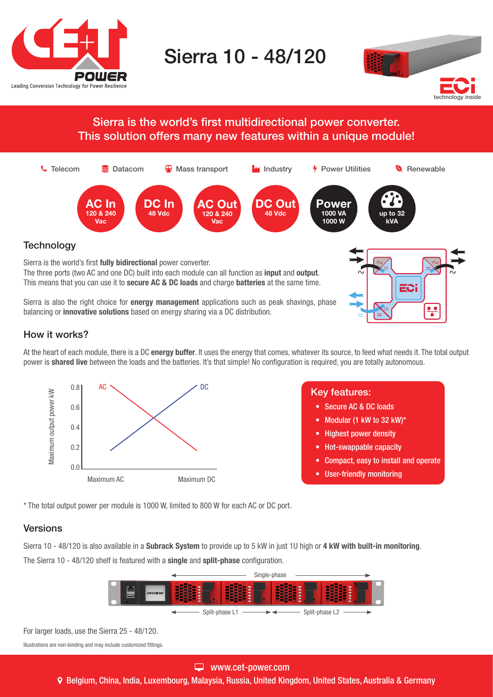

# Sierra 10 - 48/120



## Sierra is the world's first multidirectional power converter. This solution offers many new features within a unique module!



### How it works?

At the heart of each module, there is a DC energy buffer. It uses the energy that comes, whatever its source, to feed what needs it. The total output power is **shared live** between the loads and the batteries. It's that simple! No configuration is required, you are totally autonomous.



#### Key features:

- Secure AC & DC loads
- Modular (1 kW to 32 kW)\*
- Highest power density
- Hot-swappable capacity
- Compact, easy to install and operate
- User-friendly monitoring

\* The total output power per module is 1000 W, limited to 800 W for each AC or DC port.

### Versions

Sierra 10 - 48/120 is also available in a Subrack System to provide up to 5 kW in just 1U high or 4 kW with built-in monitoring. The Sierra 10 - 48/120 shelf is featured with a single and split-phase configuration.



For larger loads, use the Sierra 25 - 48/120.

Illustrations are non-binding and may include customized fittings.

Belgium, China, India, Luxembourg, Malaysia, Russia, United Kingdom, United States, Australia & Germany